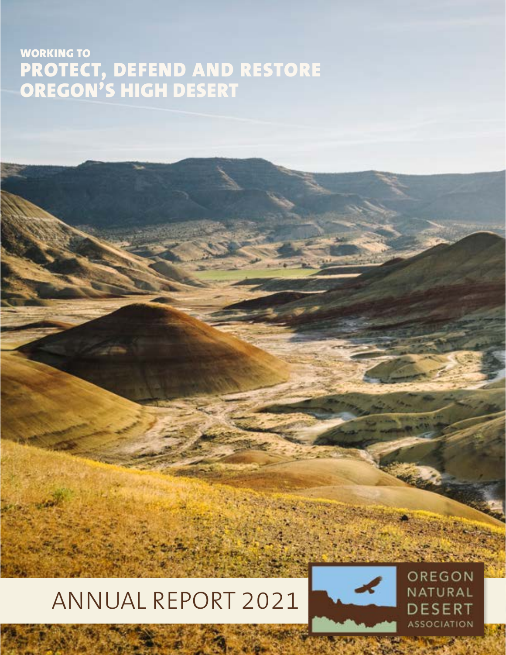## WORKING TO PROTECT, DEFEND AND RESTORE OREGON'S HIGH DESERT

# ANNUAL REPORT 2021



OREGON NATURAL **DESERT ASSOCIATION**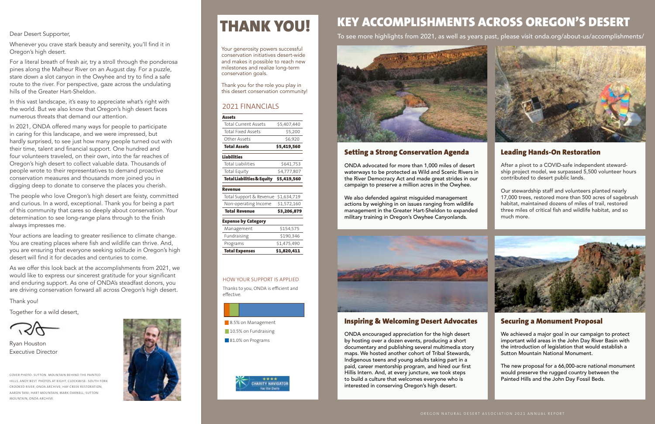Dear Desert Supporter,

Whenever you crave stark beauty and serenity, you'll find it in Oregon's high desert.

For a literal breath of fresh air, try a stroll through the ponderosa pines along the Malheur River on an August day. For a puzzle, stare down a slot canyon in the Owyhee and try to find a safe route to the river. For perspective, gaze across the undulating hills of the Greater Hart-Sheldon.

In this vast landscape, it's easy to appreciate what's right with the world. But we also know that Oregon's high desert faces numerous threats that demand our attention.

In 2021, ONDA offered many ways for people to participate in caring for this landscape, and we were impressed, but hardly surprised, to see just how many people turned out with their time, talent and financial support. One hundred and four volunteers traveled, on their own, into the far reaches of Oregon's high desert to collect valuable data. Thousands of people wrote to their representatives to demand proactive conservation measures and thousands more joined you in digging deep to donate to conserve the places you cherish.

The people who love Oregon's high desert are feisty, committed and curious. In a word, exceptional. Thank you for being a part of this community that cares so deeply about conservation. Your determination to see long-range plans through to the finish always impresses me.

Your actions are leading to greater resilience to climate change. You are creating places where fish and wildlife can thrive. And, you are ensuring that everyone seeking solitude in Oregon's high desert will find it for decades and centuries to come.

As we offer this look back at the accomplishments from 2021, we would like to express our sincerest gratitude for your significant and enduring support. As one of ONDA's steadfast donors, you are driving conservation forward all across Oregon's high desert.

Thank you!

Together for a wild desert,

COVER PHOTO: SUTTON MOUNTAIN BEHIND THE PAINTED HILLS, ANDY BEST. PHOTOS AT RIGHT, CLOCKWISE: SOUTH FORK CROOKED RIVER, ONDA ARCHIVE; HAY CREEK RESTORATION, AARON TANI; HART MOUNTAIN, MARK DARNELL; SUTTON MOUNTAIN, ONDA ARCHIVE.



# THANK YOU!

Ryan Houston Executive Director

#### 2021 FINANCIALS

| <b>Assets</b>                         |             |
|---------------------------------------|-------------|
| <b>Total Current Assets</b>           | \$5,407,440 |
| <b>Total Fixed Assets</b>             | \$5,200     |
| Other Assets                          | \$6,920     |
| <b>Total Assets</b>                   | \$5,419,560 |
| <b>Liabilities</b>                    |             |
| Total Liabilities                     | \$641,753   |
| Total Equity                          | \$4,777,807 |
| <b>Total Liabilities &amp; Equity</b> | \$5,419,560 |
| <b>Revenue</b>                        |             |
| Total Support & Revenue               | \$1,634,719 |
| Non-operating Income                  | \$1,572,160 |
| <b>Total Revenue</b>                  | \$3,206,879 |
| <b>Expense by Category</b>            |             |
| Management                            | \$154,575   |
| Fundraising                           | \$190,346   |
| Programs                              | \$1,475,490 |
| <b>Total Expenses</b>                 | \$1,820,411 |

#### HOW YOUR SUPPORT IS APPLIED

Thanks to you, ONDA is efficient and effective.

- 8.5% on Management
- 10.5% on Fundraising
- 81.0% on Programs



Your generosity powers successful conservation initiatives desert-wide and makes it possible to reach new milestones and realize long-term conservation goals.

Thank you for the role you play in this desert conservation community!

## KEY ACCOMPLISHMENTS ACROSS OREGON'S DESERT



#### Setting a Strong Conservation Agenda

ONDA advocated for more than 1,000 miles of desert waterways to be protected as Wild and Scenic Rivers in the River Democracy Act and made great strides in our campaign to preserve a million acres in the Owyhee.

We also defended against misguided management actions by weighing in on issues ranging from wildlife management in the Greater Hart-Sheldon to expanded military training in Oregon's Owyhee Canyonlands.



#### Inspiring & Welcoming Desert Advocates

ONDA encouraged appreciation for the high desert by hosting over a dozen events, producing a short documentary and publishing several multimedia story maps. We hosted another cohort of Tribal Stewards, Indigenous teens and young adults taking part in a paid, career mentorship program, and hired our first Hillis Intern. And, at every juncture, we took steps to build a culture that welcomes everyone who is interested in conserving Oregon's high desert.

#### Leading Hands-On Restoration

After a pivot to a COVID-safe independent stewardship project model, we surpassed 5,500 volunteer hours contributed to desert public lands.

Our stewardship staff and volunteers planted nearly 17,000 trees, restored more than 500 acres of sagebrush habitat, maintained dozens of miles of trail, restored three miles of critical fish and wildlife habitat, and so much more.



#### Securing a Monument Proposal

We achieved a major goal in our campaign to protect important wild areas in the John Day River Basin with the introduction of legislation that would establish a Sutton Mountain National Monument.

The new proposal for a 66,000-acre national monument would preserve the rugged country between the Painted Hills and the John Day Fossil Beds.

To see more highlights from 2021, as well as years past, please visit onda.org/about-us/accomplishments/